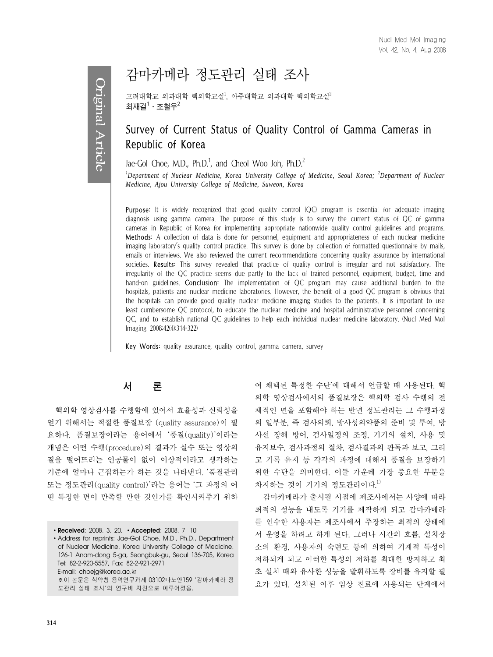# 감마카메라 정도관리 실태 조사

고려대학교 의과대학 핵의학교실<sup>2</sup>, 아주대학교 의과대학 핵의학교실 $^2$ 최재걸 $^1\cdot$  조철우 $^2$ 

## Survey of Current Status of Quality Control of Gamma Cameras in Republic of Korea

Jae-Gol Choe, M.D.,  $Ph.D.^{1}$ , and Cheol Woo Joh,  $Ph.D.^{2}$ 

<sup>*1</sup>* Department of Nuclear Medicine, Korea University College of Medicine, Seoul Korea; <sup>2</sup> Department of Nuclear</sup> *Medicine, Ajou University College of Medicine, Suweon, Korea*

**Purpose:** It is widely recognized that good quality control (QC) program is essential for adequate imaging diagnosis using gamma camera. The purpose of this study is to survey the current status of QC of gamma cameras in Republic of Korea for implementing appropriate nationwide quality control guidelines and programs. Methods: A collection of data is done for personnel, equipment and appropriateness of each nuclear medicine imaging laboratory's quality control practice. This survey is done by collection of formatted questionnaire by mails, emails or interviews. We also reviewed the current recommendations concerning quality assurance by international societies. Results: This survey revealed that practice of quality control is irregular and not satisfactory. The irregularity of the QC practice seems due partly to the lack of trained personnel, equipment, budget, time and hand-on guidelines. **Conclusion:** The implementation of OC program may cause additional burden to the hospitals, patients and nuclear medicine laboratories. However, the benefit of a good QC program is obvious that the hospitals can provide good quality nuclear medicine imaging studies to the patients. It is important to use least cumbersome QC protocol, to educate the nuclear medicine and hospital administrative personnel concerning QC, and to establish national QC guidelines to help each individual nuclear medicine laboratory. (Nucl Med Mol Imaging 2008;42(4):314-322)

Key Words: quality assurance, quality control, gamma camera, survey

## 서 론

핵의학 영상검사를 수행함에 있어서 효율성과 신뢰성을 얻기 위해서는 적절한 품질보장 (quality assurance)이 필 요하다. 품질보장이라는 용어에서 '품질(quality)'이라는 개념은 어떤 수행(procedure)의 결과가 실수 또는 영상의 질을 떨어뜨리는 인공물이 없이 이상적이라고 생각하는 기준에 얼마나 근접하는가 하는 것을 나타낸다. '품질관리 또는 정도관리(quality control)'라는 용어는 '그 과정의 어 떤 특정한 면이 만족할 만한 것인가를 확인시켜주기 위하

∙**Received**: 2008. 3. 20. ∙**Accepted**: 2008. 7. 10. ∙Address for reprints: Jae-Gol Choe, M.D., Ph.D., Department of Nuclear Medicine, Korea University College of Medicine, 126-1 Anam-dong 5-ga, Seongbuk-gu, Seoul 136-705, Korea Tel: 82-2-920-5557, Fax: 82-2-921-2971 E-mail: choejg@korea.ac.kr ※이 논문은 식약청 용역연구과제 03102나노안159 '감마카메라 정 도관리 실태 조사'의 연구비 지원으로 이루어졌음.

여 채택된 특정한 수단'에 대해서 언급할 때 사용된다. 핵 의학 영상검사에서의 품질보장은 핵의학 검사 수행의 전 체적인 면을 포함해야 하는 반면 정도관리는 그 수행과정 의 일부분, 즉 검사의뢰, 방사성의약품의 준비 및 투여, 방 사선 장해 방어, 검사일정의 조정, 기기의 설치, 사용 및 유지보수, 검사과정의 절차, 검사결과의 판독과 보고, 그리 고 기록 유지 등 각각의 과정에 대해서 품질을 보장하기 위한 수단을 의미한다. 이들 가운데 가장 중요한 부분을 차지하는 것이 기기의 정도관리이다.<sup>1)</sup>

감마카메라가 출시될 시점에 제조사에서는 사양에 따라 최적의 성능을 내도록 기기를 제작하게 되고 감마카메라 를 인수한 사용자는 제조사에서 주장하는 최적의 상태에 서 운영을 하려고 하게 된다. 그러나 시간의 흐름, 설치장 소의 환경, 사용자의 숙련도 등에 의하여 기계적 특성이 저하되게 되고 이러한 특성의 저하를 최대한 방지하고 최 초 설치 때와 유사한 성능을 발휘하도록 장비를 유지할 필 요가 있다. 설치된 이후 임상 진료에 사용되는 단계에서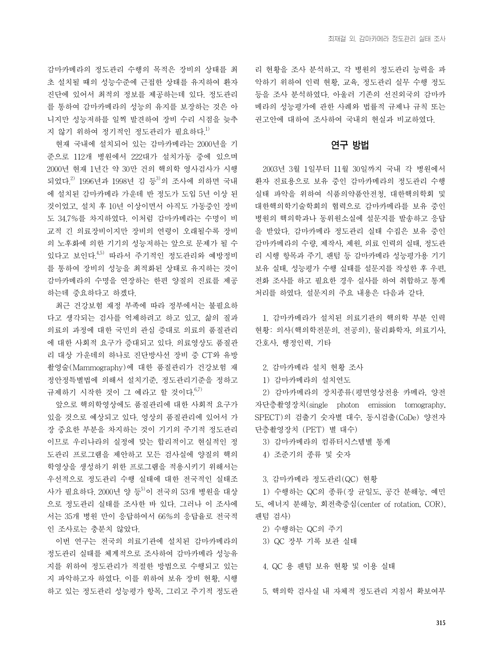감마카메라의 정도관리 수행의 목적은 장비의 상태를 최 초 설치될 때의 성능수준에 근접한 상태를 유지하여 환자 진단에 있어서 최적의 정보를 제공하는데 있다. 정도관리 를 통하여 감마카메라의 성능의 유지를 보장하는 것은 아 니지만 성능저하를 일찍 발견하여 장비 수리 시점을 늦추 지 않기 위하여 정기적인 정도관리가 필요하다.<sup>1)</sup>

현재 국내에 설치되어 있는 감마카메라는 2000년을 기 준으로 112개 병원에서 222대가 설치가동 중에 있으며 2000년 현재 1년간 약 30만 건의 핵의학 영사검사가 시행 되었다.<sup>2)</sup> 1996년과 1998년 김 등 의 조사에 의하면 국내 에 설치된 감마카메라 가운데 반 정도가 도입 5년 이상 된 것이었고, 설치 후 10년 이상이면서 아직도 가동중인 장비 도 34.7%를 차지하였다. 이처럼 감마카메라는 수명이 비 교적 긴 의료장비이지만 장비의 연령이 오래될수록 장비 의 노후화에 의한 기기의 성능저하는 앞으로 문제가 될 수 있다고 보인다. $4.5$  따라서 주기적인 정도관리와 예방정비 를 통하여 장비의 성능을 최적화된 상태로 유지하는 것이 감마카메라의 수명을 연장하는 한편 양질의 진료를 제공 하는데 중요하다고 하겠다.

최근 건강보험 재정 부족에 따라 정부에서는 불필요하 다고 생각되는 검사를 억제하려고 하고 있고, 삶의 질과 의료의 과정에 대한 국민의 관심 증대로 의료의 품질관리 에 대한 사회적 요구가 증대되고 있다. 의료영상도 품질관 리 대상 가운데의 하나로 진단방사선 장비 중 CT와 유방 촬영술(Mammography)에 대한 품질관리가 건강보험 재 정안정특별법에 의해서 설치기준, 정도관리기준을 정하고 규제하기 시작한 것이 그 예라고 할 것이다.  $6.7$ 

앞으로 핵의학영상에도 품질관리에 대한 사회적 요구가 있을 것으로 예상되고 있다. 영상의 품질관리에 있어서 가 장 중요한 부분을 차지하는 것이 기기의 주기적 정도관리 이므로 우리나라의 실정에 맞는 합리적이고 현실적인 정 도관리 프로그램을 제안하고 모든 검사실에 양질의 핵의 학영상을 생성하기 위한 프로그램을 적용시키기 위해서는 우선적으로 정도관리 수행 실태에 대한 전국적인 실태조 사가 필요하다. 2000년 양 등 이 전국의 53개 병원을 대상 으로 정도관리 실태를 조사한 바 있다. 그러나 이 조사에 서는 35개 병원 만이 응답하여서 66%의 응답율로 전국적 인 조사로는 충분치 않았다.

이번 연구는 전국의 의료기관에 설치된 감마카메라의 정도관리 실태를 체계적으로 조사하여 감마카메라 성능유 지를 위하여 정도관리가 적절한 방법으로 수행되고 있는 지 파악하고자 하였다. 이를 위하여 보유 장비 현황, 시행 하고 있는 정도관리 성능평가 항목, 그리고 주기적 정도관 리 현황을 조사 분석하고, 각 병원의 정도관리 능력을 파 악하기 위하여 인력 현황, 교육, 정도관리 실무 수행 정도 등을 조사 분석하였다. 아울러 기존의 선진외국의 감마카 메라의 성능평가에 관한 사례와 법률적 규제나 규칙 또는 권고안에 대하여 조사하여 국내의 현실과 비교하였다.

## 연구 방법

2003년 3월 1일부터 11월 30일까지 국내 각 병원에서 환자 진료용으로 보유 중인 감마카메라의 정도관리 수행 실태 파악을 위하여 식품의약품안전청, 대한핵의학회 및 대한핵의학기술학회의 협력으로 감마카메라를 보유 중인 병원의 핵의학과나 동위원소실에 설문지를 발송하고 응답 을 받았다. 감마카메라 정도관리 실태 수집은 보유 중인 감마카메라의 수량, 제작사, 제원, 의료 인력의 실태, 정도관 리 시행 항목과 주기, 팬텀 등 감마카메라 성능평가용 기기 보유 실태, 성능평가 수행 실태를 설문지를 작성한 후 우편, 전화 조사를 하고 필요한 경우 실사를 하여 취합하고 통계 처리를 하였다. 설문지의 주요 내용은 다음과 같다.

1. 감마카메라가 설치된 의료기관의 핵의학 부분 인력 현황: 의사(핵의학전문의, 전공의), 물리화학자, 의료기사, 간호사, 행정인력, 기타

- 2. 감마카메라 설치 현황 조사
- 1) 감마카메라의 설치연도

2) 감마카메라의 장치종류(평면영상전용 카메라, 양전 자단층촬영장치(single photon emission tomography, SPECT)의 검출기 숫자별 대수, 동시검출(CoDe) 양전자 단층촬영장치 (PET) 별 대수)

- 3) 감마카메라의 컴퓨터시스템별 통계
- 4) 조준기의 종류 및 숫자

3. 감마카메라 정도관리(QC) 현황

1) 수행하는 QC의 종류(장 균일도, 공간 분해능, 예민 도, 에너지 분해능, 회전축중심(center of rotation, COR), 팬텀 검사)

- 2) 수행하는 QC의 주기
- 3) QC 장부 기록 보관 실태
- 4. QC 용 팬텀 보유 현황 및 이용 실태

5. 핵의학 검사실 내 자체적 정도관리 지침서 확보여부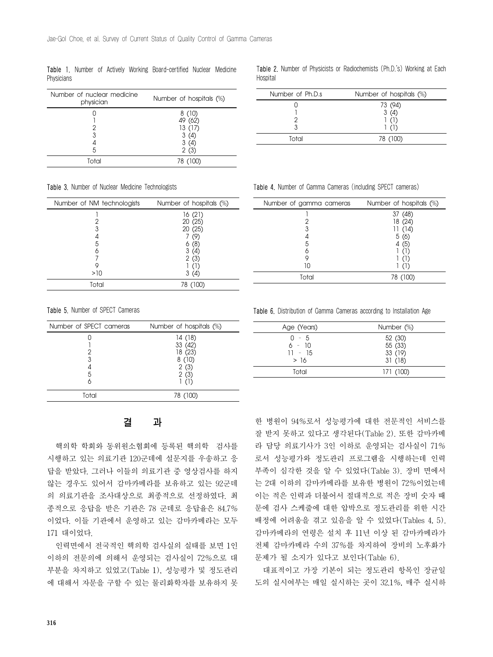Table 1. Number of Actively Working Board-certified Nuclear Medicine Physicians

| Number of nuclear medicine<br>physician | Number of hospitals (%)                            |
|-----------------------------------------|----------------------------------------------------|
| 3<br>5                                  | 8(10)<br>49 (62)<br>13(17)<br>3(4)<br>3(4)<br>2(3) |
| Total                                   | 78 (100)                                           |

Table 3. Number of Nuclear Medicine Technologists

| Number of NM technologists | Number of hospitals (%) |
|----------------------------|-------------------------|
|                            | 16(21)                  |
|                            | 20 (25)                 |
| 3                          | 20 (25)                 |
|                            | (9)                     |
| 5                          | (8)<br>6                |
|                            | 3<br>(4)                |
|                            | 2(3)                    |
|                            |                         |
| >10                        | 3(4)                    |
| Total                      | 78 (100)                |

Table 5. Number of SPECT Cameras

| Number of SPECT cameras | Number of hospitals (%) |
|-------------------------|-------------------------|
|                         | 14(18)                  |
|                         | 33 (42)                 |
|                         | 18(23)                  |
| 3                       | 8(10)                   |
|                         | 2(3)                    |
| 5                       | 2(3)                    |
|                         |                         |
| Total                   | (100)<br>78.            |

결 과

핵의학 학회와 동위원소협회에 등록된 핵의학 검사를 시행하고 있는 의료기관 120군데에 설문지를 우송하고 응 답을 받았다. 그러나 이들의 의료기관 중 영상검사를 하지 않는 경우도 있어서 감마카메라를 보유하고 있는 92군데 의 의료기관을 조사대상으로 최종적으로 선정하였다. 최 종적으로 응답을 받은 기관은 78 군데로 응답율은 84.7% 이었다. 이들 기관에서 운영하고 있는 감마카메라는 모두 171 대이었다.

인력면에서 전국적인 핵의학 검사실의 실태를 보면 1인 이하의 전문의에 의해서 운영되는 검사실이 72%으로 대 부분을 차지하고 있었고(Table 1), 성능평가 및 정도관리 에 대해서 자문을 구할 수 있는 물리화학자를 보유하지 못

Table 2. Number of Physicists or Radiochemists (Ph.D.'s) Working at Each **Hospital** 

| Number of Ph.D.s | Number of hospitals (%) |
|------------------|-------------------------|
|                  | 73 (94)<br>3(4)         |
|                  |                         |
| Total            | 78 (100)                |
|                  |                         |

Table 4. Number of Gamma Cameras (including SPECT cameras)

| Number of gamma cameras | Number of hospitals (%) |
|-------------------------|-------------------------|
|                         | 37 (48)                 |
|                         | 18 (24)                 |
| 3                       | 11 (14)                 |
|                         | 5(6)                    |
| 5                       | 4 (5)                   |
|                         |                         |
| 9                       |                         |
| 10                      |                         |
| Total                   | 78 (100)                |
|                         |                         |

Table 6. Distribution of Gamma Cameras according to Installation Age

| Age (Years)                             | Number (%)                              |
|-----------------------------------------|-----------------------------------------|
| $0 - 5$<br>$6 - 10$<br>$11 - 15$<br>>16 | 52 (30)<br>55 (33)<br>33 (19)<br>31(18) |
| Total                                   | 171 (100)                               |

한 병원이 94%로서 성능평가에 대한 전문적인 서비스를 잘 받지 못하고 있다고 생각된다(Table 2). 또한 감마카메 라 담당 의료기사가 3인 이하로 운영되는 검사실이 71% 로서 성능평가와 정도관리 프로그램을 시행하는데 인력 부족이 심각한 것을 알 수 있었다(Table 3). 장비 면에서 는 2대 이하의 감마카메라를 보유한 병원이 72%이었는데 이는 적은 인력과 더불어서 절대적으로 적은 장비 숫자 때 문에 검사 스케줄에 대한 압박으로 정도관리를 위한 시간 배정에 어려움을 겪고 있음을 알 수 있었다(Tables 4, 5). 감마카메라의 연령은 설치 후 11년 이상 된 감마카메라가 전체 감마카메라 수의 37%를 차지하여 장비의 노후화가 문제가 될 소지가 있다고 보인다(Table 6).

대표적이고 가장 기본이 되는 정도관리 항목인 장균일 도의 실시여부는 매일 실시하는 곳이 32.1%, 매주 실시하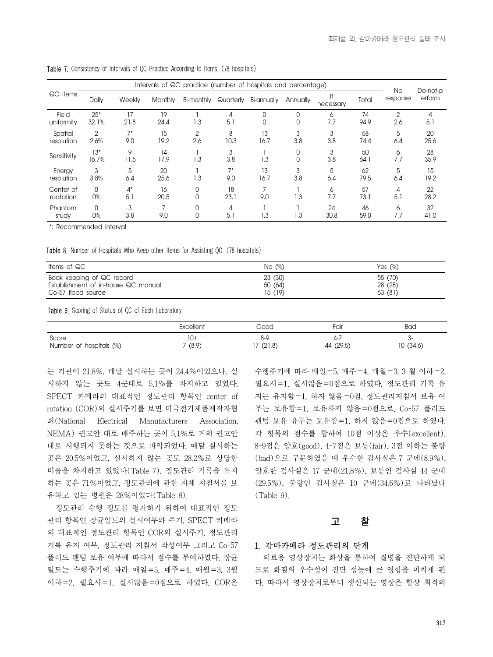| Intervals of QC practice (number of hospitals and percentage) |                |              |            |                         |             |             |          |                 |            |                |                    |
|---------------------------------------------------------------|----------------|--------------|------------|-------------------------|-------------|-------------|----------|-----------------|------------|----------------|--------------------|
| QC items                                                      | Daily          | Weekly       | Monthly    | Bi-monthly              | Quarterly   | Bi-annually | Annually | lf<br>necessary | Total      | No<br>response | Do-not-p<br>erform |
| Field<br>uniformity                                           | $25*$<br>32.1% | 17<br>21.8   | 19<br>24.4 | 1.3                     | 4<br>5.1    | 0<br>0      |          | 6<br>7.7        | 74<br>94.9 | 2<br>2.6       | 5.1                |
| Spatial<br>resolution                                         | 2<br>2.6%      | $7^*$<br>9.0 | 15<br>19.2 | 2<br>2.6                | 8<br>10.3   | 13<br>16.7  | 3.8      | 3<br>3.8        | 58<br>74.4 | 5<br>6.4       | 20<br>25.6         |
| Sensitivity                                                   | $13*$<br>16.7% | 9<br>11.5    | 14<br>17.9 | $\mathsf{L}.\mathsf{3}$ | 3<br>3.8    | 1.3         |          | 3<br>3.8        | 50<br>64.1 | 6<br>7.7       | 28<br>35.9         |
| Energy<br>resolution                                          | 3<br>3.8%      | 5<br>6.4     | 20<br>25.6 | 1.3                     | $7*$<br>9.0 | 13<br>16.7  | 3<br>3.8 | 5<br>6.4        | 62<br>79.5 | 5<br>6.4       | 15<br>19.2         |
| Center of<br>roatation                                        | 0<br>$0\%$     | $4^*$<br>5.1 | 16<br>20.5 | 0<br>$\Omega$           | 18<br>23.1  | 9.0         | 1.3      | 6<br>7.7        | 57<br>73.1 | 5.1            | 22<br>28.2         |
| Phantom<br>study                                              | 0<br>0%        | 3<br>3.8     | 9.0        | 0<br>0                  | 4<br>5.1    | 1.3         | 1.3      | 24<br>30.8      | 46<br>59.0 | 6<br>7.7       | 32<br>41.0         |

Table 7. Consistency of Intervals of QC Practice According to Items. (78 hospitals)

\*: Recommended interval

Table 8. Number of Hospitals Who Keep other Items for Assisting QC. (78 hospitals)

| Items of QC                         | No $(\%)$ | Yes $(\%)$ |
|-------------------------------------|-----------|------------|
| Book keeping of QC record           | 23 (30)   | 55 (70)    |
| Establishment of in-house QC manual | 50 (64)   | 28 (28)    |
| Co-57 flood source                  | 15 (19)   | 63(81)     |

Table 9. Scoring of Status of OC of Each Laboratory

|                                  | Excellent    | Good                             | Fair            | <b>Bad</b>   |
|----------------------------------|--------------|----------------------------------|-----------------|--------------|
| Score<br>Number of hospitals (%) | 10+<br>(8.9) | $\circ$ $\circ$<br>O-><br>(21.8) | 4-<br>44 (29.5) | (34.6)<br>10 |

는 기관이 21.8%, 매달 실시하는 곳이 24.4%이었으나, 실 시하지 않는 곳도 4군데로 5.1%를 차지하고 있었다. SPECT 카메라의 대표적인 정도관리 항목인 center of rotation (COR)의 실시주기를 보면 미국전기제품제작자협 회(National Electrical Manufacturers Association, NEMA) 권고안 대로 매주하는 곳이 5.1%로 거의 권고안 대로 시행되지 못하는 것으로 파악되었다. 매달 실시하는 곳은 20.5%이었고, 실시하지 않는 곳도 28.2%로 상당한 비율을 차지하고 있었다(Table 7). 정도관리 기록을 유지 하는 곳은 71%이었고, 정도관리에 관한 자체 지침서를 보 유하고 있는 병원은 28%이었다(Table 8).

정도관리 수행 정도를 평가하기 위하여 대표적인 정도 관리 항목인 장균일도의 실시여부와 주기, SPECT 카메라 의 대표적인 정도관리 항목인 COR의 실시주기, 정도관리 기록 유지 여부, 정도관리 지침서 작성여부 그리고 Co-57 플러드 팬텀 보유 여부에 따라서 점수를 부여하였다. 장균 일도는 수행주기에 따라 매일=5, 매주=4, 매월=3, 3월 이하=2, 필요시=1, 실시않음=0점으로 하였다. COR은 수행주기에 따라 매일=5, 매주=4, 매월=3, 3 월 이하=2, 필요시=1, 실시않음=0점으로 하였다. 정도관리 기록 유 지는 유지함=1, 하지 않음=0점, 정도관리지침서 보유 여 부는 보유함=1, 보유하지 않음=0점으로, Co-57 플러드 팬텀 보유 유무는 보유함=1, 하지 않음=0점으로 하였다. 각 항목의 점수를 합하여 10점 이상은 우수(excellent), 8-9점은 양호(good), 4-7점은 보통(fair), 3점 이하는 불량 (bad)으로 구분하였을 때 우수한 검사실은 7 군데(8.9%), 양호한 검사실은 17 군데(21.8%), 보통인 검사실 44 군데 (29.5%), 불량인 검사실은 10 군데(34.6%)로 나타났다  $(Table 9)$ 

#### 고 찰

#### 1. 감마카메라 정도관리의 단계

의료용 영상장치는 화상을 통하여 질병을 진단하게 되 므로 화질의 우수성이 진단 성능에 큰 영항을 미치게 된 다. 따라서 영상장치로부터 생산되는 영상은 항상 최적의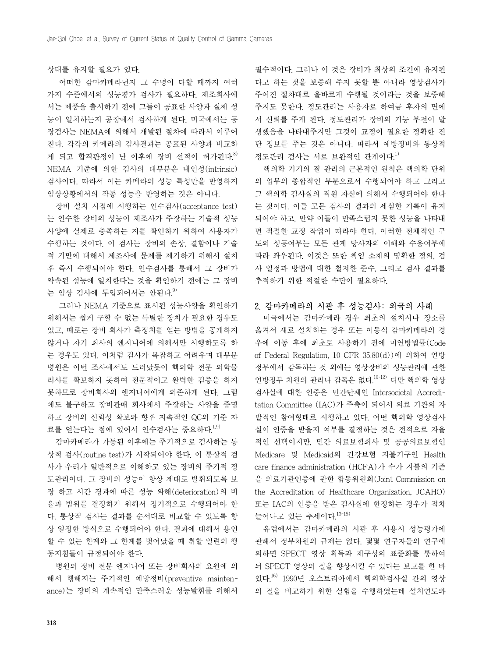#### 상태를 유지할 필요가 있다.

 어떠한 감마카메라던지 그 수명이 다할 때까지 여러 가지 수준에서의 성능평가 검사가 필요하다. 제조회사에 서는 제품을 출시하기 전에 그들이 공표한 사양과 실제 성 능이 일치하는지 공장에서 검사하게 된다. 미국에서는 공 장검사는 NEMA에 의해서 개발된 절차에 따라서 이루어 진다. 각각의 카메라의 검사결과는 공표된 사양과 비교하 게 되고 합격판정이 난 이후에 장비 선적이 허가된다.<sup>8)</sup> NEMA 기준에 의한 검사의 대부분은 내인성(intrinsic) 검사이다. 따라서 이는 카메라의 성능 특성만을 반영하지 임상상황에서의 작동 성능을 반영하는 것은 아니다.

장비 설치 시점에 시행하는 인수검사(acceptance test) 는 인수한 장비의 성능이 제조사가 주장하는 기술적 성능 사양에 실제로 충족하는 지를 확인하기 위하여 사용자가 수행하는 것이다. 이 검사는 장비의 손상, 결함이나 기술 적 기만에 대해서 제조사에 문제를 제기하기 위해서 설치 후 즉시 수행되어야 한다. 인수검사를 통해서 그 장비가 약속된 성능에 일치한다는 것을 확인하기 전에는 그 장비 는 임상 검사에 투입되어서는 안된다. $9$ 

 그러나 NEMA 기준으로 표시된 성능사양을 확인하기 위해서는 쉽게 구할 수 없는 특별한 장치가 필요한 경우도 있고, 때로는 장비 회사가 측정치를 얻는 방법을 공개하지 않거나 자기 회사의 엔지니어에 의해서만 시행하도록 하 는 경우도 있다. 이처럼 검사가 복잡하고 어려우며 대부분 병원은 이번 조사에서도 드러났듯이 핵의학 전문 의학물 리사를 확보하지 못하여 전문적이고 완벽한 검증을 하지 못하므로 장비회사의 엔지니어에게 의존하게 된다. 그럼 에도 불구하고 장비판매 회사에서 주장하는 사양을 증명 하고 장비의 신뢰성 확보와 향후 지속적인 QC의 기준 자 료를 얻는다는 점에 있어서 인수검사는 중요하다.<sup>1,9)</sup>

감마카메라가 가동된 이후에는 주기적으로 검사하는 통 상적 검사(routine test)가 시작되어야 한다. 이 통상적 검 사가 우리가 일반적으로 이해하고 있는 장비의 주기적 정 도관리이다. 그 장비의 성능이 항상 제대로 발휘되도록 보 장 하고 시간 경과에 따른 성능 와해(deterioration)의 비 율과 범위를 결정하기 위해서 정기적으로 수행되어야 한 다. 통상적 검사는 결과를 순서대로 비교할 수 있도록 항 상 일정한 방식으로 수행되어야 한다. 결과에 대해서 용인 할 수 있는 한계와 그 한계를 벗어났을 때 취할 일련의 행 동지침들이 규정되어야 한다.

병원의 정비 전문 엔지니어 또는 장비회사의 요원에 의 해서 행해지는 주기적인 예방정비(preventive maintenance)는 장비의 계속적인 만족스러운 성능발휘를 위해서

필수적이다. 그러나 이 것은 장비가 최상의 조건에 유지된 다고 하는 것을 보증해 주지 못할 뿐 아니라 영상검사가 주어진 절차대로 올바르게 수행될 것이라는 것을 보증해 주지도 못한다. 정도관리는 사용자로 하여금 후자의 면에 서 신뢰를 주게 된다. 정도관리가 장비의 기능 부전이 발 생했음을 나타내주지만 그것이 교정이 필요한 정확한 진 단 정보를 주는 것은 아니다. 따라서 예방정비와 통상적 정도관리 검사는 서로 보완적인 관계이다.<sup>1)</sup>

핵의학 기기의 질 관리의 근본적인 원칙은 핵의학 단위 의 업무의 종합적인 부분으로서 수행되어야 하고 그리고 그 핵의학 검사실의 직원 자신에 의해서 수행되어야 한다 는 것이다. 이들 모든 검사의 결과의 세심한 기록이 유지 되어야 하고, 만약 이들이 만족스럽지 못한 성능을 나타내 면 적절한 교정 작업이 따라야 한다. 이러한 전체적인 구 도의 성공여부는 모든 관계 당사자의 이해와 수용여부에 따라 좌우된다. 이것은 또한 책임 소재의 명확한 정의, 검 사 일정과 방법에 대한 철저한 준수, 그리고 검사 결과를 추적하기 위한 적절한 수단이 필요하다.

#### 2. 감마카메라의 시판 후 성능검사: 외국의 사례

미국에서는 감마카메라 경우 최초의 설치시나 장소를 옮겨서 새로 설치하는 경우 또는 이동식 감마카메라의 경 우에 이동 후에 최초로 사용하기 전에 미연방법률(Code of Federal Regulation, 10 CFR 35.80(d))에 의하여 연방 정부에서 감독하는 것 외에는 영상장비의 성능관리에 관한 연방정부 차원의 관리나 감독은 없다.10-12) 다만 핵의학 영상 검사실에 대한 인증은 민간단체인 Intersocietal Accreditation Committee (IAC)가 주축이 되어서 의료 기관의 자 발적인 참여형태로 시행하고 있다. 어떤 핵의학 영상검사 실이 인증을 받을지 여부를 결정하는 것은 전적으로 자율 적인 선택이지만, 민간 의료보험회사 및 공공의료보험인 Medicare 및 Medicaid의 건강보험 지불기구인 Health care finance administration (HCFA)가 수가 지불의 기준 을 의료기관인증에 관한 합동위원회(Joint Commission on the Accreditation of Healthcare Organization, JCAHO) 또는 IAC의 인증을 받은 검사실에 한정하는 경우가 점차 늘어나고 있는 추세이다. $13-15$ )

유럽에서는 감마카메라의 시판 후 사용시 성능평가에 관해서 정부차원의 규제는 없다. 몇몇 연구자들의 연구에 의하면 SPECT 영상 획득과 재구성의 표준화를 통하여 뇌 SPECT 영상의 질을 향상시킬 수 있다는 보고를 한 바 있다.16) 1990년 오스트리아에서 핵의학검사실 간의 영상 의 질을 비교하기 위한 실험을 수행하였는데 설치연도와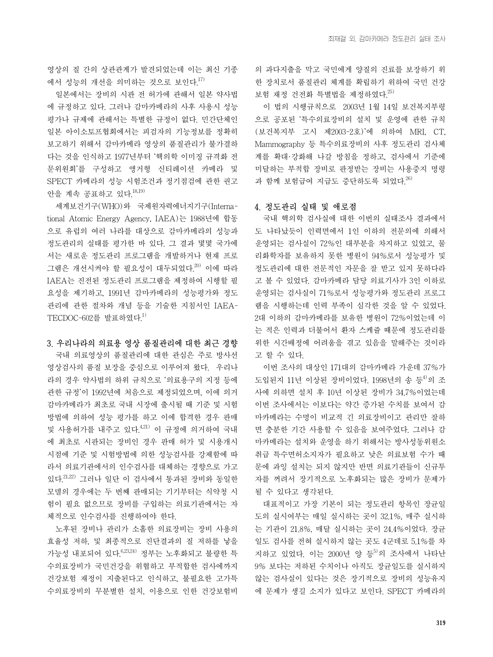영상의 질 간의 상관관계가 발견되었는데 이는 최신 기종 에서 성능의 개선을 의미하는 것으로 보인다. $^{17)}$ 

일본에서는 장비의 시판 전 허가에 관해서 일본 약사법 에 규정하고 있다. 그러나 감마카메라의 사후 사용시 성능 평가나 규제에 관해서는 특별한 규정이 없다. 민간단체인 일본 아이소토프협회에서는 피검자의 기능정보를 정확히 보고하기 위해서 감마카메라 영상의 품질관리가 불가결하 다는 것을 인식하고 1977년부터 '핵의학 이미징 규격화 전 문위원회'를 구성하고 앵거형 신티레이션 카메라 및 SPECT 카메라의 성능 시험조건과 정기점검에 관한 권고 안을 계속 공표하고 있다.18,19)

세계보건기구(WHO)와 국제원자력에너지기구(International Atomic Energy Agency, IAEA)는 1988년에 합동 으로 유럽의 여러 나라를 대상으로 감마카메라의 성능과 정도관리의 실태를 평가한 바 있다. 그 결과 몇몇 국가에 서는 새로운 정도관리 프로그램을 개발하거나 현재 프로 그램은 개선시켜야 할 필요성이 대두되었다.<sup>20)</sup> 이에 따라 IAEA는 진전된 정도관리 프로그램을 제정하여 시행할 필 요성을 제기하고, 1991년 감마카메라의 성능평가와 정도 관리에 관한 절차와 개념 등을 기술한 지침서인 IAEA-TECDOC-602를 발표하였다.<sup>1)</sup>

### 3. 우리나라의 의료용 영상 품질관리에 대한 최근 경향

국내 의료영상의 품질관리에 대한 관심은 주로 방사선 영상검사의 품질 보장을 중심으로 이루어져 왔다. 우리나 라의 경우 약사법의 하위 규칙으로 '의료용구의 지정 등에 관한 규정'이 1992년에 처음으로 제정되었으며, 이에 의거 감마카메라가 최초로 국내 시장에 출시될 때 기준 및 시험 방법에 의하여 성능 평가를 하고 이에 합격한 경우 판매 및 사용허가를 내주고 있다.<sup>4,21)</sup> 이 규정에 의거하여 국내 에 최초로 시판되는 장비인 경우 판매 허가 및 시용개시 시점에 기준 및 시험방법에 의한 성능검사를 강제함에 따 라서 의료기관에서의 인수검사를 대체하는 경향으로 가고 있다.  $21,22$ ) 그러나 일단 이 검사에서 통과된 장비와 동일한 모델의 경우에는 두 번째 판매되는 기기부터는 식약청 시 험이 필요 없으므로 장비를 구입하는 의료기관에서는 자 체적으로 인수검사를 진행하여야 한다.

노후된 장비나 관리가 소홀한 의료장비는 장비 사용의 효율성 저하, 및 최종적으로 진단결과의 질 저하를 낳을 가능성 내포되어 있다.  $6,23,24$ ) 정부는 노후화되고 불량한 특 수의료장비가 국민건강을 위협하고 부적합한 검사에까지 건강보험 재정이 지출된다고 인식하고, 불필요한 고가특 수의료장비의 무분별한 설치, 이용으로 인한 건강보험비 의 과다지출을 막고 국민에게 양질의 진료를 보장하기 위 한 장치로서 품질관리 체계를 확립하기 위하여 국민 건강 보험 재정 거전화 특별법을 제정하였다 $^{25)}$ 

이 법의 시행규칙으로 2003년 1월 14일 보건복지부령 으로 공포된 '특수의료장비의 설치 및 운영에 관한 규칙 (보건복지부 고시 제2003-2호)'에 의하여 MRI, CT, Mammography 등 특수의료장비의 사후 정도관리 검사체 계를 확대·강화해 나갈 방침을 정하고, 검사에서 기준에 미달하는 부적합 장비로 판정받는 장비는 사용중지 명령 과 함께 보험급여 지급도 중단하도록 되었다. $^{26)}$ 

#### 4. 정도관리 실태 및 애로점

국내 핵의학 검사실에 대한 이번의 실태조사 결과에서 도 나타났듯이 인력면에서 1인 이하의 전문의에 의해서 운영되는 검사실이 72%인 대부분을 차지하고 있었고, 물 리화학자를 보유하지 못한 병원이 94%로서 성능평가 및 정도관리에 대한 전문적인 자문을 잘 받고 있지 못하다라 고 볼 수 있었다. 감마카메라 담당 의료기사가 3인 이하로 운영되는 검사실이 71%로서 성능평가와 정도관리 프로그 램을 시행하는데 인력 부족이 심각한 것을 알 수 있었다. 2대 이하의 감마카메라를 보유한 병원이 72%이었는데 이 는 적은 인력과 더불어서 환자 스케쥴 때문에 정도관리를 위한 시간배정에 어려움을 겪고 있음을 말해주는 것이라 고 할 수 있다.

이번 조사의 대상인 171대의 감마카메라 가운데 37%가 도입된지 11년 이상된 장비이었다. 1998년의 송 등<sup>4)</sup>의 조 사에 의하면 설치 후 10년 이상된 장비가 34.7%이었는데 이번 조사에서는 이보다는 약간 증가된 수치를 보여서 감 마카메라는 수명이 비교적 긴 의료장비이고 관리만 잘하 면 충분한 기간 사용할 수 있음을 보여주었다. 그러나 감 마카메라는 설치와 운영을 하기 위해서는 방사성동위원소 취급 특수면허소지자가 필요하고 낮은 의료보험 수가 때 문에 과잉 설치는 되지 않지만 반면 의료기관들이 신규투 자를 꺼려서 장기적으로 노후화되는 많은 장비가 문제가 될 수 있다고 생각된다.

대표적이고 가장 기본이 되는 정도관리 항목인 장균일 도의 실시여부는 매일 실시하는 곳이 32.1%, 매주 실시하 는 기관이 21.8%, 매달 실시하는 곳이 24.4%이었다. 장균 일도 검사를 전혀 실시하지 않는 곳도 4군데로 5.1%를 차 지하고 있었다. 이는 2000년 양 등 의 조사에서 나타난 9% 보다는 저하된 수치이나 아직도 장균일도를 실시하지 않는 검사실이 있다는 것은 장기적으로 장비의 성능유지 에 문제가 생길 소지가 있다고 보인다. SPECT 카메라의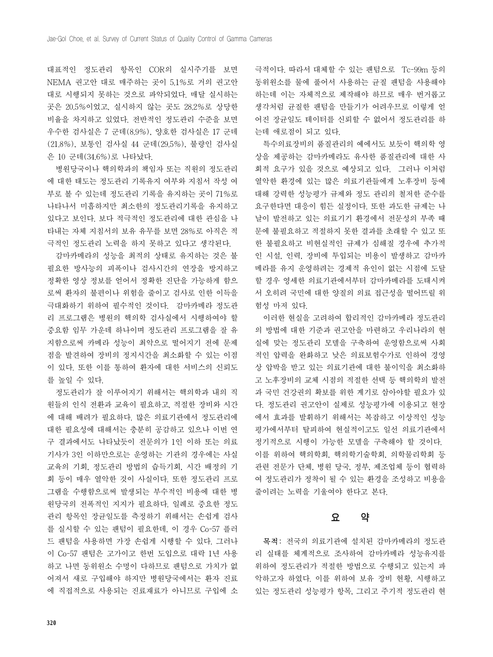대표적인 정도관리 항목인 COR의 실시주기를 보면 NEMA 권고안 대로 매주하는 곳이 5.1%로 거의 권고안 대로 시행되지 못하는 것으로 파악되었다. 매달 실시하는 곳은 20.5%이었고, 실시하지 않는 곳도 28.2%로 상당한 비율을 차지하고 있었다. 전반적인 정도관리 수준을 보면 우수한 검사실은 7 군데(8.9%), 양호한 검사실은 17 군데 (21.8%), 보통인 검사실 44 군데(29.5%), 불량인 검사실 은 10 군데(34.6%)로 나타났다.

병원당국이나 핵의학과의 책임자 또는 직원의 정도관리 에 대한 태도는 정도관리 기록유지 여부와 지침서 작성 여 부로 볼 수 있는데 정도관리 기록을 유지하는 곳이 71%로 나타나서 미흡하지만 최소한의 정도관리기록을 유지하고 있다고 보인다. 보다 적극적인 정도관리에 대한 관심을 나 타내는 자체 지침서의 보유 유무를 보면 28%로 아직은 적 극적인 정도관리 노력을 하지 못하고 있다고 생각된다.

감마카메라의 성능을 최적의 상태로 유지하는 것은 불 필요한 방사능의 피폭이나 검사시간의 연장을 방지하고 정확한 영상 정보를 얻어서 정확한 진단을 가능하게 함으 로써 환자의 불편이나 위험을 줄이고 검사로 인한 이득을 극대화하기 위하여 필수적인 것이다. 감마카메라 정도관 리 프로그램은 병원의 핵의학 검사실에서 시행하여야 할 중요함 임무 가운데 하나이며 정도관리 프로그램을 잘 유 지함으로써 카메라 성능이 최악으로 떨어지기 전에 문제 점을 발견하여 장비의 정지시간을 최소화할 수 있는 이점 이 있다. 또한 이를 통하여 환자에 대한 서비스의 신뢰도 를 높일 수 있다.

정도관리가 잘 이루어지기 위해서는 핵의학과 내의 직 원들의 인식 전환과 교육이 필요하고, 적절한 장비와 시간 에 대해 배려가 필요하다. 많은 의료기관에서 정도관리에 대한 필요성에 대해서는 충분히 공감하고 있으나 이번 연 구 결과에서도 나타났듯이 전문의가 1인 이하 또는 의료 기사가 3인 이하만으로는 운영하는 기관의 경우에는 사실 교육의 기회, 정도관리 방법의 습득기회, 시간 배정의 기 회 등이 매우 열악한 것이 사실이다. 또한 정도관리 프로 그램을 수행함으로써 발생되는 부수적인 비용에 대한 병 원당국의 전폭적인 지지가 필요하다. 일례로 중요한 정도 관리 항목인 장균일도를 측정하기 위해서는 손쉽게 검사 를 실시할 수 있는 팬텀이 필요한데, 이 경우 Co-57 플러 드 팬텀을 사용하면 가장 손쉽게 시행할 수 있다. 그러나 이 Co-57 팬텀은 고가이고 한번 도입으로 대락 1년 사용 하고 나면 동위원소 수명이 다하므로 팬텀으로 가치가 없 어져서 새로 구입해야 하지만 병원당국에서는 환자 진료 에 직접적으로 사용되는 진료재료가 아니므로 구입에 소

극적이다. 따라서 대체할 수 있는 팬텀으로 Tc-99m 등의 동위원소를 물에 풀어서 사용하는 균질 팬텀을 사용해야 하는데 이는 자체적으로 제작해야 하므로 매우 번거롭고 생각처럼 균질한 팬텀을 만들기가 어려우므로 이렇게 얻 어진 장균일도 테이터를 신뢰할 수 없어서 정도관리를 하 는데 애로점이 되고 있다.

특수의료장비의 품질관리의 예에서도 보듯이 핵의학 영 상을 제공하는 감마카메라도 유사한 품질관리에 대한 사 회적 요구가 있을 것으로 예상되고 있다. 그러나 이처럼 열악한 환경에 있는 많은 의료기관들에게 노후장비 등에 대해 강력한 성능평가 규제와 정도 관리의 철저한 준수를 요구한다면 대응이 힘든 실정이다. 또한 과도한 규제는 나 날이 발전하고 있는 의료기기 환경에서 전문성의 부족 때 문에 불필요하고 적절하지 못한 결과를 초래할 수 있고 또 한 불필요하고 비현실적인 규제가 심해질 경우에 추가적 인 시설, 인력, 장비에 투입되는 비용이 발생하고 감마카 메라를 유지 운영하려는 경제적 유인이 없는 시점에 도달 할 경우 영세한 의료기관에서부터 감마카메라를 도태시켜 서 오히려 국민에 대한 양질의 의료 접근성을 떨어뜨릴 위 험성 마저 있다.

이러한 현실을 고려하여 합리적인 감마카메라 정도관리 의 방법에 대한 기준과 권고안을 마련하고 우리나라의 현 실에 맞는 정도관리 모델을 구축하여 운영함으로써 사회 적인 압력을 완화하고 낮은 의료보험수가로 인하여 경영 상 압박을 받고 있는 의료기관에 대한 불이익을 최소화하 고 노후장비의 교체 시점의 적절한 선택 등 핵의학의 발전 과 국민 건강권의 확보를 위한 계기로 삼아야할 필요가 있 다. 정도관리 권고안이 실제로 성능평가에 이용되고 현장 에서 효과를 발휘하기 위해서는 복잡하고 이상적인 성능 평가에서부터 탈피하여 현실적이고도 일선 의료기관에서 정기적으로 시행이 가능한 모델을 구축해야 할 것이다. 이를 위하여 핵의학회, 핵의학기술학회, 의학물리학회 등 관련 전문가 단체, 병원 당국, 정부, 제조업체 등이 협력하 여 정도관리가 정착이 될 수 있는 환경을 조성하고 비용을 줄이려는 노력을 기울여야 한다고 본다.

## 요 약

목적: 전국의 의료기관에 설치된 감마카메라의 정도관 리 실태를 체계적으로 조사하여 감마카메라 성능유지를 위하여 정도관리가 적절한 방법으로 수행되고 있는지 파 악하고자 하였다. 이를 위하여 보유 장비 현황, 시행하고 있는 정도관리 성능평가 항목, 그리고 주기적 정도관리 현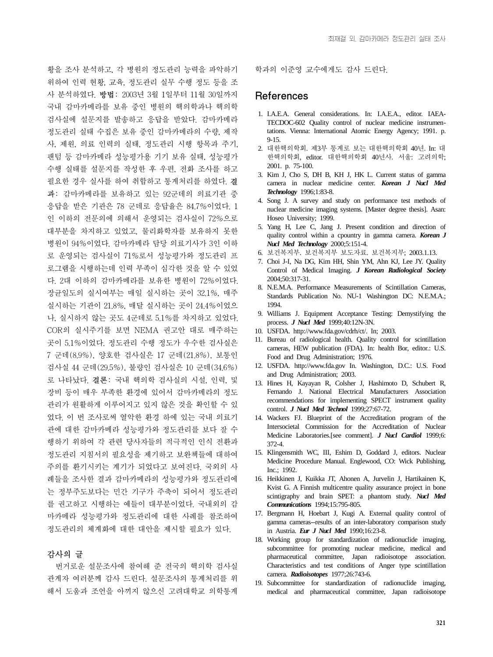황을 조사 분석하고, 각 병원의 정도관리 능력을 파악하기 위하여 인력 현황, 교육, 정도관리 실무 수행 정도 등을 조 사 분석하였다. 방법: 2003년 3월 1일부터 11월 30일까지 국내 감마카메라를 보유 중인 병원의 핵의학과나 핵의학 검사실에 설문지를 발송하고 응답을 받았다. 감마카메라 정도관리 실태 수집은 보유 중인 감마카메라의 수량, 제작 사, 제원, 의료 인력의 실태, 정도관리 시행 항목과 주기, 팬텀 등 감마카메라 성능평가용 기기 보유 실태, 성능평가 수행 실태를 설문지를 작성한 후 우편, 전화 조사를 하고 필요한 경우 실사를 하여 취합하고 통계처리를 하였다. 결 과: 감마카메라를 보유하고 있는 92군데의 의료기관 중 응답을 받은 기관은 78 군데로 응답율은 84.7%이었다. 1 인 이하의 전문의에 의해서 운영되는 검사실이 72%으로 대부분을 차지하고 있었고, 물리화학자를 보유하지 못한 병원이 94%이었다. 감마카메라 담당 의료기사가 3인 이하 로 운영되는 검사실이 71%로서 성능평가와 정도관리 프 로그램을 시행하는데 인력 부족이 심각한 것을 알 수 있었 다. 2대 이하의 감마카메라를 보유한 병원이 72%이었다. 장균일도의 실시여부는 매일 실시하는 곳이 32.1%, 매주 실시하는 기관이 21.8%, 매달 실시하는 곳이 24.4%이었으 나, 실시하지 않는 곳도 4군데로 5.1%를 차지하고 있었다. COR의 실시주기를 보면 NEMA 권고안 대로 매주하는 곳이 5.1%이었다. 정도관리 수행 정도가 우수한 검사실은 7 군데(8.9%), 양호한 검사실은 17 군데(21.8%), 보통인 검사실 44 군데(29.5%), 불량인 검사실은 10 군데(34.6%) 로 나타났다. 결론: 국내 핵의학 검사실의 시설, 인력, 및 장비 등이 매우 부족한 환경에 있어서 감마카메라의 정도 관리가 원활하게 이루어지고 있지 않은 것을 확인할 수 있 었다. 이 번 조사로써 열악한 환경 하에 있는 국내 의료기 관에 대한 감마카메라 성능평가와 정도관리를 보다 잘 수 행하기 위하여 각 관련 당사자들의 적극적인 인식 전환과 정도관리 지침서의 필요성을 제기하고 보완책들에 대하여 주의를 환기시키는 계기가 되었다고 보여진다. 국외의 사 례들을 조사한 결과 감마카메라의 성능평가와 정도관리에 는 정부주도보다는 민간 기구가 주축이 되어서 정도관리 를 권고하고 시행하는 예들이 대부분이었다. 국내외의 감 마카메라 성능평가와 정도관리에 대한 사례를 참조하여 정도관리의 체계화에 대한 대안을 제시할 필요가 있다.

### 감사의 글

번거로운 설문조사에 참여해 준 전국의 핵의학 검사실 관계자 여러분께 감사 드린다. 설문조사의 통계처리를 위 해서 도움과 조언을 아끼지 않으신 고려대학교 의학통계 학과의 이준영 교수에게도 감사 드린다.

## References

- 1. I.A.E.A. General considerations. In: I.A.E.A., editor. IAEA-TECDOC-602 Quality control of nuclear medicine instrumentations. Vienna: International Atomic Energy Agency; 1991. p. 9-15.
- 2. 대한핵의학회. 제3부 통계로 보는 대한핵의학회 40년. In: 대 한핵의학회, editor. 대한핵의학회 40년사. 서울: 고려의학; 2001. p. 75-100.
- 3. Kim J, Cho S, DH B, KH J, HK L. Current status of gamma camera in nuclear medicine center. *Korean J Nucl Med Technology* 1996;1:83-8.
- 4. Song J. A survey and study on performance test methods of nuclear medicine imaging systems. [Master degree thesis]. Asan: Hoseo University; 1999.
- 5. Yang H, Lee C, Jang J. Present condition and direction of quality control within a cpountry in gamma camera. *Korean J Nucl Med Technology* 2000;5:151-4.
- 6. 보건복지부. 보건복지부 보도자료. 보건복지부; 2003.1.13.
- 7. Choi J-I, Na DG, Kim HH, Shin YM, Ahn KJ, Lee JY. Quality Control of Medical Imaging. *J Korean Radiological Society* 2004;50:317-31.
- 8. N.E.M.A. Performance Measurements of Scintillation Cameras, Standards Publication No. NU-1 Washington DC: N.E.M.A.; 1994.
- 9. Williams J. Equipment Acceptance Testing: Demystifying the process. *J Nucl Med* 1999;40:12N-3N.
- 10. USFDA. http://www.fda.gov/cdrh/ct/. In; 2003.
- 11. Bureau of radiological health. Quality control for scintillation cameras, HEW publication (FDA). In: health Bor, editor.: U.S. Food and Drug Administration; 1976.
- 12. USFDA. http://www.fda.gov In. Washington, D.C.: U.S. Food and Drug Administration; 2003.
- 13. Hines H, Kayayan R, Colsher J, Hashimoto D, Schubert R, Fernando J. National Electrical Manufacturers Association recommendations for implementing SPECT instrument quality control. *J Nucl Med Technol* 1999;27:67-72.
- 14. Wackers FJ. Blueprint of the Accreditation program of the Intersocietal Commission for the Accreditation of Nuclear Medicine Laboratories.[see comment]. *J Nucl Cardiol* 1999;6: 372-4.
- 15. Klingensmith WC, III, Eshim D, Goddard J, editors. Nuclear Medicine Procedure Manual. Englewood, CO: Wick Publishing, Inc.; 1992.
- 16. Heikkinen J, Kuikka JT, Ahonen A, Jurvelin J, Hartikainen K, Kvist G. A Finnish multicentre quality assurance project in bone scintigraphy and brain SPET: a phantom study. *Nucl Med Communications* 1994;15:795-805.
- 17. Bergmann H, Hoebart J, Kugi A. External quality control of gamma cameras--results of an inter-laboratory comparison study in Austria. *Eur J Nucl Med* 1990;16:23-8.
- 18. Working group for standardization of radionuclide imaging, subcommittee for promoting nuclear medicine, medical and pharmaceutical committee, Japan radioisotope association. Characteristics and test conditions of Anger type scintillation camera. *Radioisotopes* 1977;26:743-6.
- 19. Subcommittee for standardization of radionuclide imaging, medical and pharmaceutical committee, Japan radioisotope